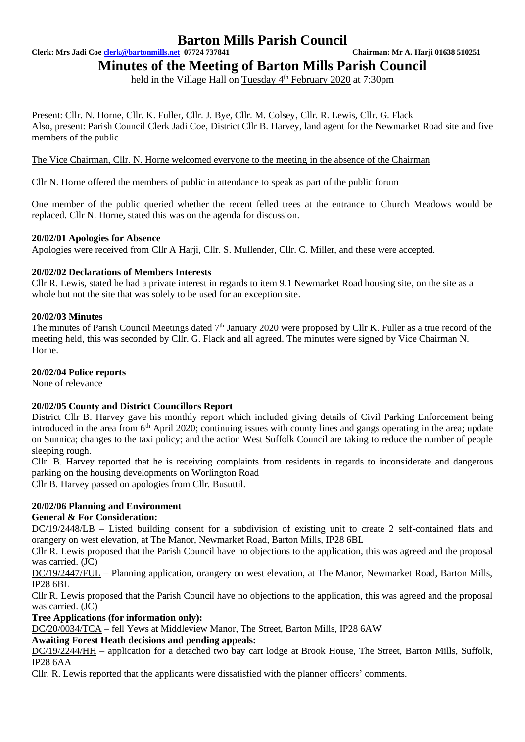**Clerk: Mrs Jadi Coe [clerk@bartonmills.net](mailto:clerk@bartonmills.net) 07724 737841 Chairman: Mr A. Harji 01638 510251**

**Minutes of the Meeting of Barton Mills Parish Council**

held in the Village Hall on Tuesday 4<sup>th</sup> February 2020 at 7:30pm

Present: Cllr. N. Horne, Cllr. K. Fuller, Cllr. J. Bye, Cllr. M. Colsey, Cllr. R. Lewis, Cllr. G. Flack Also, present: Parish Council Clerk Jadi Coe, District Cllr B. Harvey, land agent for the Newmarket Road site and five members of the public

The Vice Chairman, Cllr. N. Horne welcomed everyone to the meeting in the absence of the Chairman

Cllr N. Horne offered the members of public in attendance to speak as part of the public forum

One member of the public queried whether the recent felled trees at the entrance to Church Meadows would be replaced. Cllr N. Horne, stated this was on the agenda for discussion.

# **20/02/01 Apologies for Absence**

Apologies were received from Cllr A Harji, Cllr. S. Mullender, Cllr. C. Miller, and these were accepted.

# **20/02/02 Declarations of Members Interests**

Cllr R. Lewis, stated he had a private interest in regards to item 9.1 Newmarket Road housing site, on the site as a whole but not the site that was solely to be used for an exception site.

# **20/02/03 Minutes**

The minutes of Parish Council Meetings dated  $7<sup>th</sup>$  January 2020 were proposed by Cllr K. Fuller as a true record of the meeting held, this was seconded by Cllr. G. Flack and all agreed. The minutes were signed by Vice Chairman N. Horne.

# **20/02/04 Police reports**

None of relevance

# **20/02/05 County and District Councillors Report**

District Cllr B. Harvey gave his monthly report which included giving details of Civil Parking Enforcement being introduced in the area from 6<sup>th</sup> April 2020; continuing issues with county lines and gangs operating in the area; update on Sunnica; changes to the taxi policy; and the action West Suffolk Council are taking to reduce the number of people sleeping rough.

Cllr. B. Harvey reported that he is receiving complaints from residents in regards to inconsiderate and dangerous parking on the housing developments on Worlington Road

Cllr B. Harvey passed on apologies from Cllr. Busuttil.

# **20/02/06 Planning and Environment**

# **General & For Consideration:**

DC/19/2448/LB – Listed building consent for a subdivision of existing unit to create 2 self-contained flats and orangery on west elevation, at The Manor, Newmarket Road, Barton Mills, IP28 6BL

Cllr R. Lewis proposed that the Parish Council have no objections to the application, this was agreed and the proposal was carried. (JC)

DC/19/2447/FUL – Planning application, orangery on west elevation, at The Manor, Newmarket Road, Barton Mills, IP28 6BL

Cllr R. Lewis proposed that the Parish Council have no objections to the application, this was agreed and the proposal was carried. (JC)

**Tree Applications (for information only):**

DC/20/0034/TCA – fell Yews at Middleview Manor, The Street, Barton Mills, IP28 6AW

# **Awaiting Forest Heath decisions and pending appeals:**

DC/19/2244/HH – application for a detached two bay cart lodge at Brook House, The Street, Barton Mills, Suffolk, IP28 6AA

Cllr. R. Lewis reported that the applicants were dissatisfied with the planner officers' comments.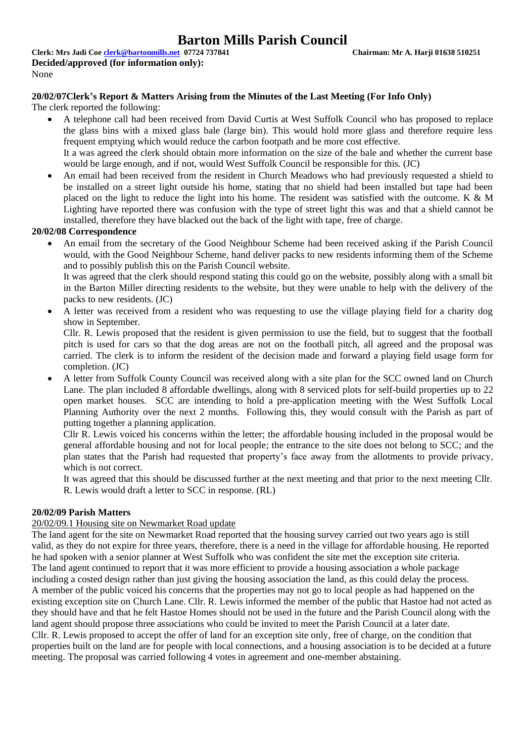**Clerk: Mrs Jadi Coe [clerk@bartonmills.net](mailto:clerk@bartonmills.net) 07724 737841 Chairman: Mr A. Harji 01638 510251 Decided/approved (for information only):** None

## **20/02/07Clerk's Report & Matters Arising from the Minutes of the Last Meeting (For Info Only)**

The clerk reported the following:

- A telephone call had been received from David Curtis at West Suffolk Council who has proposed to replace the glass bins with a mixed glass bale (large bin). This would hold more glass and therefore require less frequent emptying which would reduce the carbon footpath and be more cost effective. It a was agreed the clerk should obtain more information on the size of the bale and whether the current base
	- would be large enough, and if not, would West Suffolk Council be responsible for this. (JC)
- An email had been received from the resident in Church Meadows who had previously requested a shield to be installed on a street light outside his home, stating that no shield had been installed but tape had been placed on the light to reduce the light into his home. The resident was satisfied with the outcome. K & M Lighting have reported there was confusion with the type of street light this was and that a shield cannot be installed, therefore they have blacked out the back of the light with tape, free of charge.

#### **20/02/08 Correspondence**

• An email from the secretary of the Good Neighbour Scheme had been received asking if the Parish Council would, with the Good Neighbour Scheme, hand deliver packs to new residents informing them of the Scheme and to possibly publish this on the Parish Council website.

It was agreed that the clerk should respond stating this could go on the website, possibly along with a small bit in the Barton Miller directing residents to the website, but they were unable to help with the delivery of the packs to new residents. (JC)

• A letter was received from a resident who was requesting to use the village playing field for a charity dog show in September.

Cllr. R. Lewis proposed that the resident is given permission to use the field, but to suggest that the football pitch is used for cars so that the dog areas are not on the football pitch, all agreed and the proposal was carried. The clerk is to inform the resident of the decision made and forward a playing field usage form for completion. (JC)

• A letter from Suffolk County Council was received along with a site plan for the SCC owned land on Church Lane. The plan included 8 affordable dwellings, along with 8 serviced plots for self-build properties up to 22 open market houses. SCC are intending to hold a pre-application meeting with the West Suffolk Local Planning Authority over the next 2 months. Following this, they would consult with the Parish as part of putting together a planning application.

Cllr R. Lewis voiced his concerns within the letter; the affordable housing included in the proposal would be general affordable housing and not for local people; the entrance to the site does not belong to SCC; and the plan states that the Parish had requested that property's face away from the allotments to provide privacy, which is not correct.

It was agreed that this should be discussed further at the next meeting and that prior to the next meeting Cllr. R. Lewis would draft a letter to SCC in response. (RL)

#### **20/02/09 Parish Matters**

#### 20/02/09.1 Housing site on Newmarket Road update

The land agent for the site on Newmarket Road reported that the housing survey carried out two years ago is still valid, as they do not expire for three years, therefore, there is a need in the village for affordable housing. He reported he had spoken with a senior planner at West Suffolk who was confident the site met the exception site criteria. The land agent continued to report that it was more efficient to provide a housing association a whole package including a costed design rather than just giving the housing association the land, as this could delay the process. A member of the public voiced his concerns that the properties may not go to local people as had happened on the existing exception site on Church Lane. Cllr. R. Lewis informed the member of the public that Hastoe had not acted as they should have and that he felt Hastoe Homes should not be used in the future and the Parish Council along with the land agent should propose three associations who could be invited to meet the Parish Council at a later date. Cllr. R. Lewis proposed to accept the offer of land for an exception site only, free of charge, on the condition that properties built on the land are for people with local connections, and a housing association is to be decided at a future meeting. The proposal was carried following 4 votes in agreement and one-member abstaining.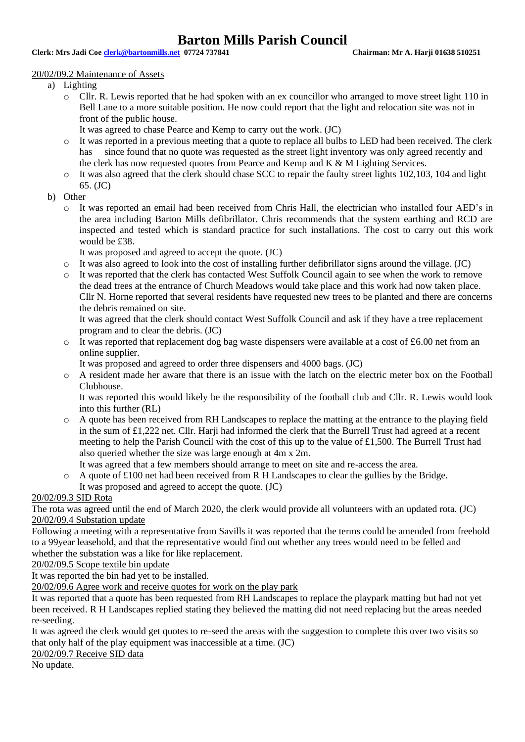**Clerk: Mrs Jadi Coe [clerk@bartonmills.net](mailto:clerk@bartonmills.net) 07724 737841 Chairman: Mr A. Harji 01638 510251**

#### 20/02/09.2 Maintenance of Assets

- a) Lighting
	- o Cllr. R. Lewis reported that he had spoken with an ex councillor who arranged to move street light 110 in Bell Lane to a more suitable position. He now could report that the light and relocation site was not in front of the public house.
		- It was agreed to chase Pearce and Kemp to carry out the work. (JC)
	- o It was reported in a previous meeting that a quote to replace all bulbs to LED had been received. The clerk has since found that no quote was requested as the street light inventory was only agreed recently and the clerk has now requested quotes from Pearce and Kemp and K & M Lighting Services.
	- o It was also agreed that the clerk should chase SCC to repair the faulty street lights 102,103, 104 and light 65. (JC)
- b) Other
	- o It was reported an email had been received from Chris Hall, the electrician who installed four AED's in the area including Barton Mills defibrillator. Chris recommends that the system earthing and RCD are inspected and tested which is standard practice for such installations. The cost to carry out this work would be £38.

It was proposed and agreed to accept the quote. (JC)

- $\circ$  It was also agreed to look into the cost of installing further defibrillator signs around the village. (JC)
- o It was reported that the clerk has contacted West Suffolk Council again to see when the work to remove the dead trees at the entrance of Church Meadows would take place and this work had now taken place. Cllr N. Horne reported that several residents have requested new trees to be planted and there are concerns the debris remained on site.

It was agreed that the clerk should contact West Suffolk Council and ask if they have a tree replacement program and to clear the debris. (JC)

 $\circ$  It was reported that replacement dog bag waste dispensers were available at a cost of £6.00 net from an online supplier.

It was proposed and agreed to order three dispensers and 4000 bags. (JC)

o A resident made her aware that there is an issue with the latch on the electric meter box on the Football Clubhouse.

It was reported this would likely be the responsibility of the football club and Cllr. R. Lewis would look into this further (RL)

- o A quote has been received from RH Landscapes to replace the matting at the entrance to the playing field in the sum of £1,222 net. Cllr. Harji had informed the clerk that the Burrell Trust had agreed at a recent meeting to help the Parish Council with the cost of this up to the value of £1,500. The Burrell Trust had also queried whether the size was large enough at 4m x 2m.
- It was agreed that a few members should arrange to meet on site and re-access the area.
- o A quote of £100 net had been received from R H Landscapes to clear the gullies by the Bridge. It was proposed and agreed to accept the quote. (JC)

#### 20/02/09.3 SID Rota

The rota was agreed until the end of March 2020, the clerk would provide all volunteers with an updated rota. (JC) 20/02/09.4 Substation update

Following a meeting with a representative from Savills it was reported that the terms could be amended from freehold to a 99year leasehold, and that the representative would find out whether any trees would need to be felled and whether the substation was a like for like replacement.

20/02/09.5 Scope textile bin update

It was reported the bin had yet to be installed.

20/02/09.6 Agree work and receive quotes for work on the play park

It was reported that a quote has been requested from RH Landscapes to replace the playpark matting but had not yet been received. R H Landscapes replied stating they believed the matting did not need replacing but the areas needed re-seeding.

It was agreed the clerk would get quotes to re-seed the areas with the suggestion to complete this over two visits so that only half of the play equipment was inaccessible at a time. (JC)

20/02/09.7 Receive SID data

No update.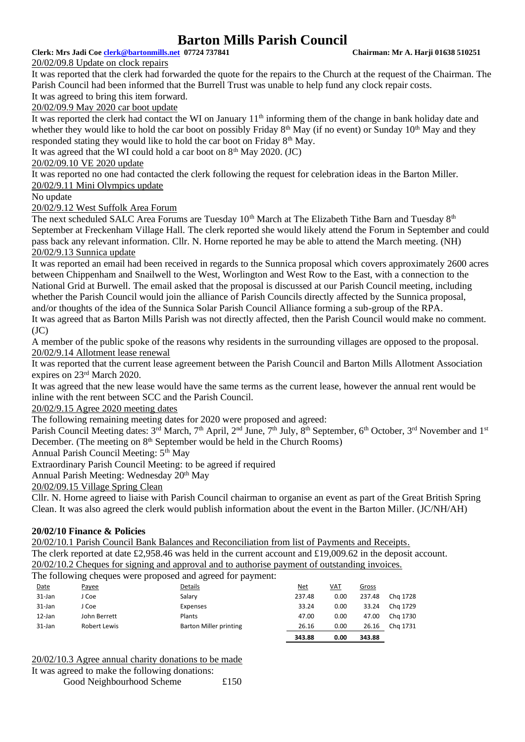## **Clerk: Mrs Jadi Coe [clerk@bartonmills.net](mailto:clerk@bartonmills.net) 07724 737841 Chairman: Mr A. Harji 01638 510251**

20/02/09.8 Update on clock repairs

It was reported that the clerk had forwarded the quote for the repairs to the Church at the request of the Chairman. The Parish Council had been informed that the Burrell Trust was unable to help fund any clock repair costs. It was agreed to bring this item forward.

20/02/09.9 May 2020 car boot update

It was reported the clerk had contact the WI on January  $11<sup>th</sup>$  informing them of the change in bank holiday date and whether they would like to hold the car boot on possibly Friday  $8<sup>th</sup>$  May (if no event) or Sunday  $10<sup>th</sup>$  May and they responded stating they would like to hold the car boot on Friday  $8<sup>th</sup>$  May.

It was agreed that the WI could hold a car boot on  $8<sup>th</sup>$  May 2020. (JC)

# 20/02/09.10 VE 2020 update

It was reported no one had contacted the clerk following the request for celebration ideas in the Barton Miller. 20/02/9.11 Mini Olympics update

No update

20/02/9.12 West Suffolk Area Forum

The next scheduled SALC Area Forums are Tuesday 10<sup>th</sup> March at The Elizabeth Tithe Barn and Tuesday 8<sup>th</sup> September at Freckenham Village Hall. The clerk reported she would likely attend the Forum in September and could pass back any relevant information. Cllr. N. Horne reported he may be able to attend the March meeting. (NH) 20/02/9.13 Sunnica update

It was reported an email had been received in regards to the Sunnica proposal which covers approximately 2600 acres between Chippenham and Snailwell to the West, Worlington and West Row to the East, with a connection to the National Grid at Burwell. The email asked that the proposal is discussed at our Parish Council meeting, including whether the Parish Council would join the alliance of Parish Councils directly affected by the Sunnica proposal, and/or thoughts of the idea of the Sunnica Solar Parish Council Alliance forming a sub-group of the RPA.

It was agreed that as Barton Mills Parish was not directly affected, then the Parish Council would make no comment.  $(JC)$ 

A member of the public spoke of the reasons why residents in the surrounding villages are opposed to the proposal. 20/02/9.14 Allotment lease renewal

It was reported that the current lease agreement between the Parish Council and Barton Mills Allotment Association expires on 23rd March 2020.

It was agreed that the new lease would have the same terms as the current lease, however the annual rent would be inline with the rent between SCC and the Parish Council.

20/02/9.15 Agree 2020 meeting dates

The following remaining meeting dates for 2020 were proposed and agreed:

Parish Council Meeting dates: 3<sup>rd</sup> March, 7<sup>th</sup> April, 2<sup>nd</sup> June, 7<sup>th</sup> July, 8<sup>th</sup> September, 6<sup>th</sup> October, 3<sup>rd</sup> November and 1<sup>st</sup> December. (The meeting on  $8<sup>th</sup>$  September would be held in the Church Rooms)

Annual Parish Council Meeting:  $5<sup>th</sup>$  May

Extraordinary Parish Council Meeting: to be agreed if required

Annual Parish Meeting: Wednesday 20<sup>th</sup> May

20/02/09.15 Village Spring Clean

Cllr. N. Horne agreed to liaise with Parish Council chairman to organise an event as part of the Great British Spring Clean. It was also agreed the clerk would publish information about the event in the Barton Miller. (JC/NH/AH)

# **20/02/10 Finance & Policies**

20/02/10.1 Parish Council Bank Balances and Reconciliation from list of Payments and Receipts. The clerk reported at date £2,958.46 was held in the current account and £19,009.62 in the deposit account. 20/02/10.2 Cheques for signing and approval and to authorise payment of outstanding invoices.

The following cheques were proposed and agreed for payment:

| Date      | Payee        | Details                | <u>Net</u> | VAT  | <b>Gross</b> |          |
|-----------|--------------|------------------------|------------|------|--------------|----------|
| 31-Jan    | J Coe        | Salary                 | 237.48     | 0.00 | 237.48       | Cha 1728 |
| 31-Jan    | J Coe        | Expenses               | 33.24      | 0.00 | 33.24        | Chg 1729 |
| $12$ -Jan | John Berrett | Plants                 | 47.00      | 0.00 | 47.00        | Chg 1730 |
| 31-Jan    | Robert Lewis | Barton Miller printing | 26.16      | 0.00 | 26.16        | Chg 1731 |
|           |              |                        | 343.88     | 0.00 | 343.88       |          |
|           |              |                        |            |      |              |          |

20/02/10.3 Agree annual charity donations to be made

It was agreed to make the following donations:

Good Neighbourhood Scheme £150